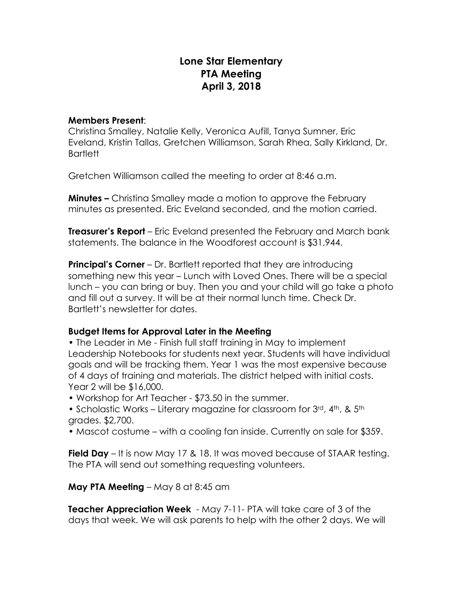# **Lone Star Elementary PTA Meeting April 3, 2018**

#### **Members Present**:

Christina Smalley, Natalie Kelly, Veronica Aufill, Tanya Sumner, Eric Eveland, Kristin Tallas, Gretchen Williamson, Sarah Rhea, Sally Kirkland, Dr. **Bartlett** 

Gretchen Williamson called the meeting to order at 8:46 a.m.

**Minutes –** Christina Smalley made a motion to approve the February minutes as presented. Eric Eveland seconded, and the motion carried.

**Treasurer's Report** – Eric Eveland presented the February and March bank statements. The balance in the Woodforest account is \$31,944.

**Principal's Corner** – Dr. Bartlett reported that they are introducing something new this year – Lunch with Loved Ones. There will be a special lunch – you can bring or buy. Then you and your child will go take a photo and fill out a survey. It will be at their normal lunch time. Check Dr. Bartlett's newsletter for dates.

### **Budget Items for Approval Later in the Meeting**

• The Leader in Me - Finish full staff training in May to implement Leadership Notebooks for students next year. Students will have individual goals and will be tracking them. Year 1 was the most expensive because of 4 days of training and materials. The district helped with initial costs. Year 2 will be \$16,000.

• Workshop for Art Teacher - \$73.50 in the summer.

• Scholastic Works – Literary magazine for classroom for 3rd, 4th, & 5th grades. \$2,700.

• Mascot costume – with a cooling fan inside. Currently on sale for \$359.

**Field Day** – It is now May 17 & 18. It was moved because of STAAR testing. The PTA will send out something requesting volunteers.

**May PTA Meeting** – May 8 at 8:45 am

**Teacher Appreciation Week** - May 7-11- PTA will take care of 3 of the days that week. We will ask parents to help with the other 2 days. We will